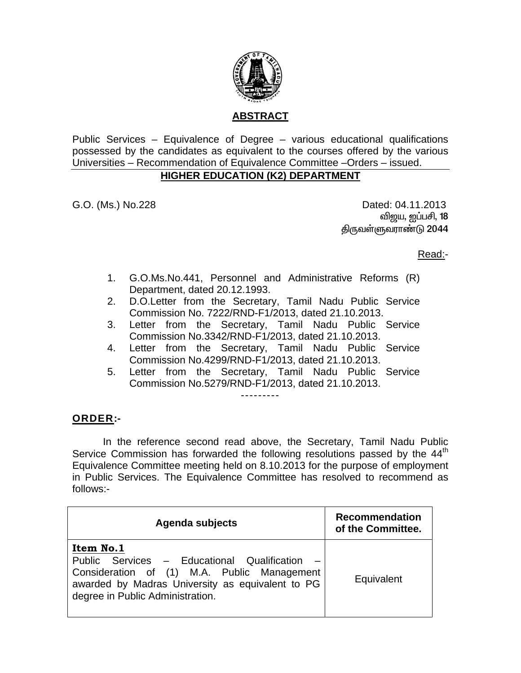

Public Services – Equivalence of Degree – various educational qualifications possessed by the candidates as equivalent to the courses offered by the various Universities – Recommendation of Equivalence Committee –Orders – issued.

## **HIGHER EDUCATION (K2) DEPARTMENT**

G.O. (Ms.) No.228 Dated: 04.11.2013 வி<u>ஜ</u>ய, ஐப்பசி, **18** திருவள்ளுவராண்டு 2044

Read:-

- 1. G.O.Ms.No.441, Personnel and Administrative Reforms (R) Department, dated 20.12.1993.
- 2. D.O.Letter from the Secretary, Tamil Nadu Public Service Commission No. 7222/RND-F1/2013, dated 21.10.2013.
- 3. Letter from the Secretary, Tamil Nadu Public Service Commission No.3342/RND-F1/2013, dated 21.10.2013.
- 4. Letter from the Secretary, Tamil Nadu Public Service Commission No.4299/RND-F1/2013, dated 21.10.2013.
- 5. Letter from the Secretary, Tamil Nadu Public Service Commission No.5279/RND-F1/2013, dated 21.10.2013.

## ---------

## **ORDER:-**

 In the reference second read above, the Secretary, Tamil Nadu Public Service Commission has forwarded the following resolutions passed by the 44<sup>th</sup> Equivalence Committee meeting held on 8.10.2013 for the purpose of employment in Public Services. The Equivalence Committee has resolved to recommend as follows:-

| Agenda subjects                                                                                                                                                                                 | <b>Recommendation</b><br>of the Committee. |
|-------------------------------------------------------------------------------------------------------------------------------------------------------------------------------------------------|--------------------------------------------|
| Item No.1<br>Public Services - Educational Qualification<br>Consideration of (1) M.A. Public Management<br>awarded by Madras University as equivalent to PG<br>degree in Public Administration. | Equivalent                                 |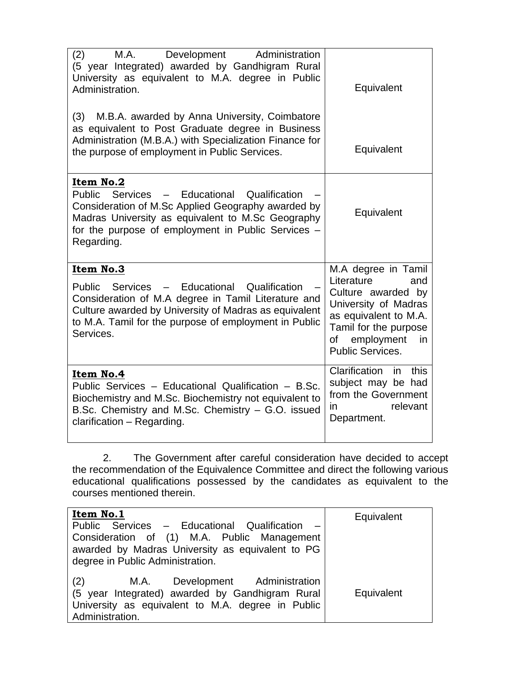| (2)<br>M.A.<br>Development<br>Administration<br>(5 year Integrated) awarded by Gandhigram Rural<br>University as equivalent to M.A. degree in Public<br>Administration.                                                                              | Equivalent                                                                                                                                                                             |
|------------------------------------------------------------------------------------------------------------------------------------------------------------------------------------------------------------------------------------------------------|----------------------------------------------------------------------------------------------------------------------------------------------------------------------------------------|
| M.B.A. awarded by Anna University, Coimbatore<br>(3)<br>as equivalent to Post Graduate degree in Business<br>Administration (M.B.A.) with Specialization Finance for<br>the purpose of employment in Public Services.                                | Equivalent                                                                                                                                                                             |
| Item No.2<br>Services - Educational<br>Public<br>Qualification<br>Consideration of M.Sc Applied Geography awarded by<br>Madras University as equivalent to M.Sc Geography<br>for the purpose of employment in Public Services -<br>Regarding.        | Equivalent                                                                                                                                                                             |
| Item No.3<br>Services - Educational<br>Qualification<br>Public<br>Consideration of M.A degree in Tamil Literature and<br>Culture awarded by University of Madras as equivalent<br>to M.A. Tamil for the purpose of employment in Public<br>Services. | M.A degree in Tamil<br>Literature<br>and<br>Culture awarded by<br>University of Madras<br>as equivalent to M.A.<br>Tamil for the purpose<br>employment<br>of<br>in<br>Public Services. |
| Item No.4<br>Public Services - Educational Qualification - B.Sc.<br>Biochemistry and M.Sc. Biochemistry not equivalent to<br>B.Sc. Chemistry and M.Sc. Chemistry – G.O. issued<br>clarification - Regarding.                                         | Clarification<br>this<br>in.<br>subject may be had<br>from the Government<br>relevant<br>in.<br>Department.                                                                            |

2. The Government after careful consideration have decided to accept the recommendation of the Equivalence Committee and direct the following various educational qualifications possessed by the candidates as equivalent to the courses mentioned therein.

| Item No.1<br>Public Services - Educational Qualification<br>Consideration of (1) M.A. Public Management<br>awarded by Madras University as equivalent to PG<br>degree in Public Administration. | Equivalent |
|-------------------------------------------------------------------------------------------------------------------------------------------------------------------------------------------------|------------|
| M.A. Development Administration<br>(2)<br>(5 year Integrated) awarded by Gandhigram Rural<br>University as equivalent to M.A. degree in Public<br>Administration.                               | Equivalent |